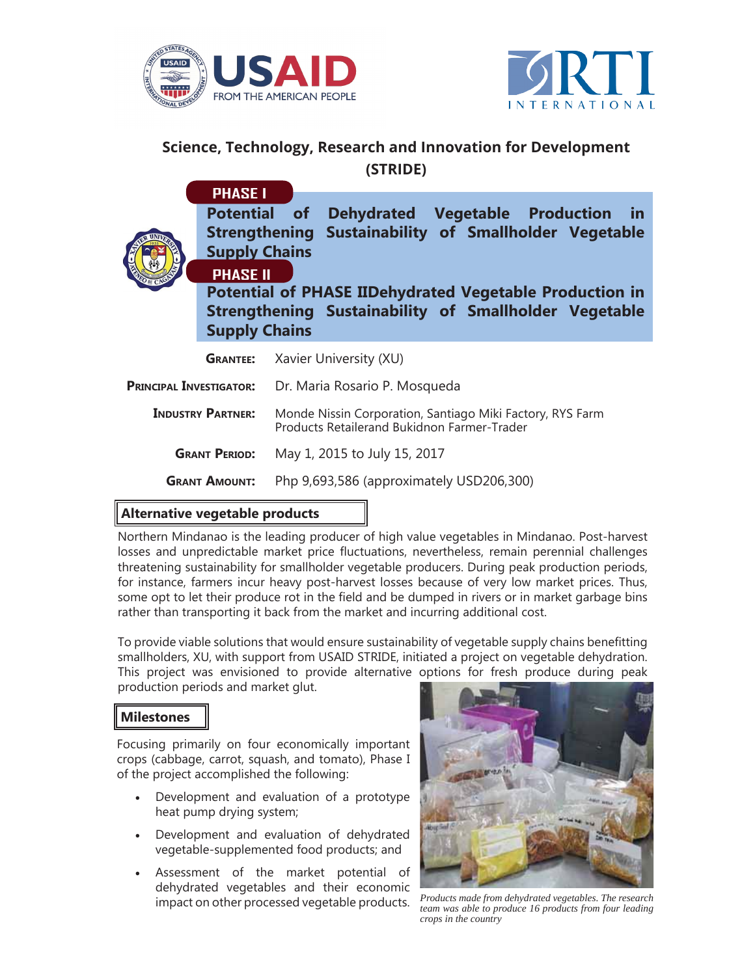



## **Science, Technology, Research and Innovation for Development (STRIDE)**

**Potential of Dehydrated Vegetable Production in Strengthening Sustainability of Smallholder Vegetable Supply Chains PHASE I**



**Potential of PHASE IIDehydrated Vegetable Production in Strengthening Sustainability of Smallholder Vegetable Supply Chains**

|                                | <b>GRANTEE:</b> Xavier University (XU)                                                                   |
|--------------------------------|----------------------------------------------------------------------------------------------------------|
| <b>PRINCIPAL INVESTIGATOR:</b> | Dr. Maria Rosario P. Mosqueda                                                                            |
| <b>INDUSTRY PARTNER:</b>       | Monde Nissin Corporation, Santiago Miki Factory, RYS Farm<br>Products Retailerand Bukidnon Farmer-Trader |
| <b>GRANT PERIOD:</b>           | May 1, 2015 to July 15, 2017                                                                             |
| <b>GRANT AMOUNT:</b>           | Php 9,693,586 (approximately USD206,300)                                                                 |

## **Alternative vegetable products**

Northern Mindanao is the leading producer of high value vegetables in Mindanao. Post-harvest losses and unpredictable market price fluctuations, nevertheless, remain perennial challenges threatening sustainability for smallholder vegetable producers. During peak production periods, for instance, farmers incur heavy post-harvest losses because of very low market prices. Thus, some opt to let their produce rot in the field and be dumped in rivers or in market garbage bins rather than transporting it back from the market and incurring additional cost.

To provide viable solutions that would ensure sustainability of vegetable supply chains benefitting smallholders, XU, with support from USAID STRIDE, initiated a project on vegetable dehydration. This project was envisioned to provide alternative options for fresh produce during peak production periods and market glut.

## **Milestones**

Focusing primarily on four economically important crops (cabbage, carrot, squash, and tomato), Phase I of the project accomplished the following:

- Development and evaluation of a prototype heat pump drying system;
- Development and evaluation of dehydrated vegetable-supplemented food products; and
- Assessment of the market potential of dehydrated vegetables and their economic impact on other processed vegetable products.



*Products made from dehydrated vegetables. The research team was able to produce 16 products from four leading crops in the country*